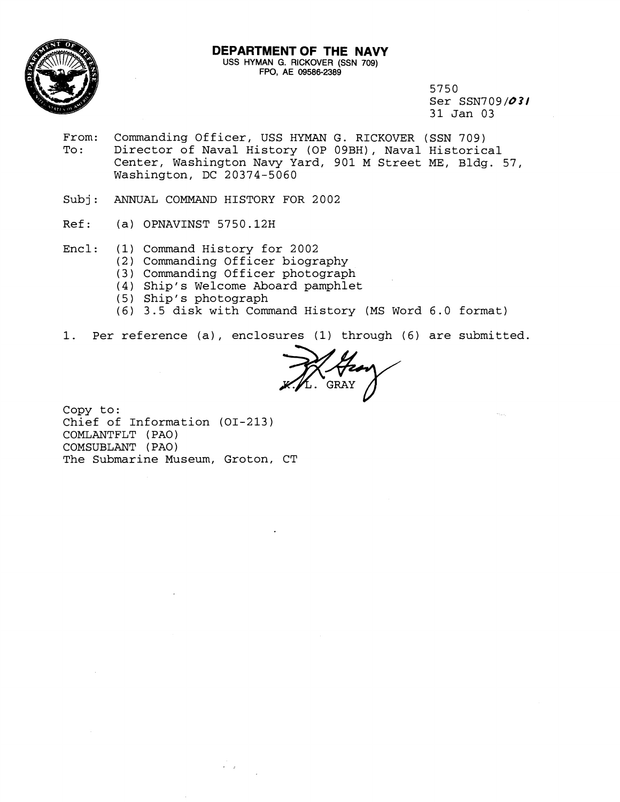

## **DEPARTMENT OF THE NAVY USS** HYMAN G. RICKOVER (SSN 709) FPO, AE 09586-2389

5750 Ser SSN709/03/ 31 Jan 03

- From: Commanding Officer, USS HYMAN G. RICKOVER (SSN 709)<br>To: Director of Naval History (OP 09BH), Naval Historic Director of Naval History (OP 09BH), Naval Historical Center, Washington Navy Yard, 901 M Street ME, Bldg. 57, Washington, DC 20374-5060
- Subj: ANNUAL COMMAND HISTORY FOR 2002
- Ref: (a) OPNAVINST 5750.12H
- Encl: (1) Command History for 2002
	- (2) Commanding Officer biography
	- (3) Commanding Officer photograph
	- (4) Ship's Welcome Aboard pamphlet
	- (5) Ship's photograph
	- (6) 3.5 disk with Command History (MS Word 6.0 format)
- 1. Per reference (a), enclosures (1) through (6) are submitted.

**JK/V24** 

Copy to: Chief of Information (OI-213) COMLANTFLT (PAO) COMSUBLANT ( PA0 ) The Submarine Museum, Groton, CT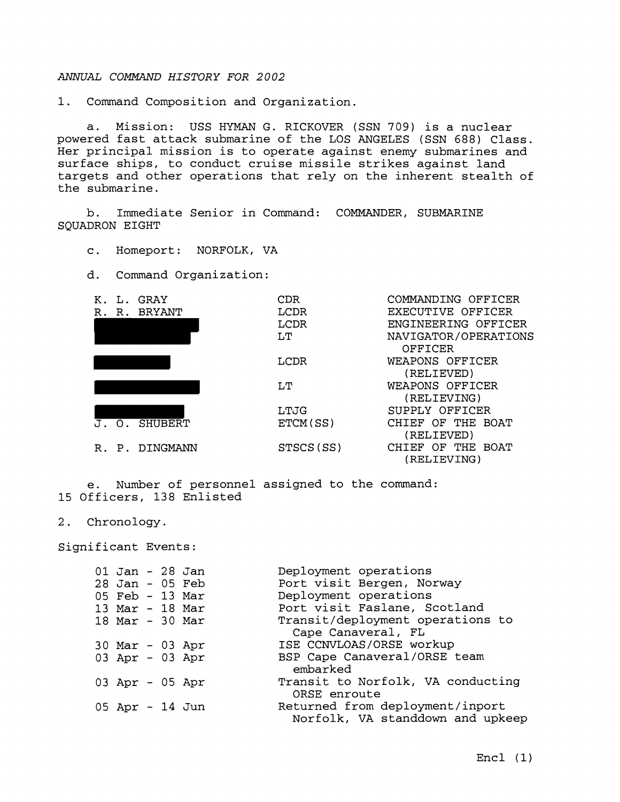## **ANNUAL** *COMMAND HISTORY FOR 2002*

1. Command Composition and Organization.

a. Mission: USS HYMAN G. RICKOVER (SSN 709) is a nuclear powered fast attack submarine of the LOS ANGELES (SSN 688) Class. Her principal mission is to operate against enemy submarines and surface ships, to conduct cruise missile strikes against land targets and other operations that rely on the inherent stealth of the submarine.

b. Immediate Senior in Command: COMMANDER, SUBMARINE SQUADRON EIGHT

c. Homeport: NORFOLK, VA

d. Command Organization:



e. Number of personnel assigned to the command: 15 Officers, 138 Enlisted

## 2. Chronology.

Significant Events:

| 01 Jan - 28 Jan<br>28 Jan - 05 Feb<br>05 Feb - 13 Mar |  | Deployment operations<br>Port visit Bergen, Norway<br>Deployment operations<br>Port visit Faslane, Scotland |
|-------------------------------------------------------|--|-------------------------------------------------------------------------------------------------------------|
| 13 Mar - 18 Mar                                       |  |                                                                                                             |
| 18 Mar - 30 Mar                                       |  | Transit/deployment operations to<br>Cape Canaveral, FL                                                      |
| $30$ Mar - 03 Apr                                     |  | ISE CCNVLOAS/ORSE workup                                                                                    |
| 03 Apr - 03 Apr                                       |  | BSP Cape Canaveral/ORSE team<br>embarked                                                                    |
| 03 Apr - 05 Apr                                       |  | Transit to Norfolk, VA conducting<br>ORSE enroute                                                           |
| 05 Apr - 14 Jun                                       |  | Returned from deployment/inport<br>Norfolk, VA standdown and upkeep                                         |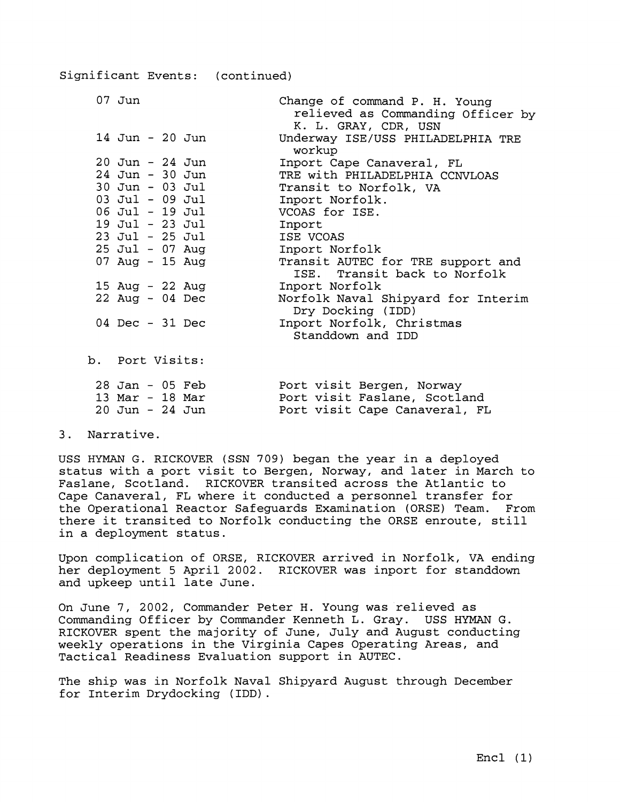| $07$ Jun          |  |                 | Change of command P. H. Young<br>relieved as Commanding Officer by<br>K. L. GRAY, CDR, USN |
|-------------------|--|-----------------|--------------------------------------------------------------------------------------------|
|                   |  | 14 Jun - 20 Jun | Underway ISE/USS PHILADELPHIA TRE<br>workup                                                |
| 20 Jun - 24 Jun   |  |                 | Inport Cape Canaveral, FL                                                                  |
| 24 Jun - 30 Jun   |  |                 | TRE with PHILADELPHIA CCNVLOAS                                                             |
| 30 Jun - 03 Jul   |  |                 | Transit to Norfolk, VA                                                                     |
| 03 Jul - 09 Jul   |  |                 | Inport Norfolk.                                                                            |
| 06 Jul - 19 Jul   |  |                 | VCOAS for ISE.                                                                             |
| 19 Jul - 23 Jul   |  |                 | Inport                                                                                     |
| 23 Jul - 25 Jul   |  |                 | ISE VCOAS                                                                                  |
|                   |  | 25 Jul - 07 Aug | Inport Norfolk                                                                             |
|                   |  | 07 Aug - 15 Aug | Transit AUTEC for TRE support and<br>ISE. Transit back to Norfolk                          |
| 15 Aug - 22 Aug   |  |                 | Inport Norfolk                                                                             |
| $22$ Aug - 04 Dec |  |                 | Norfolk Naval Shipyard for Interim<br>Dry Docking (IDD)                                    |
| $04$ Dec - 31 Dec |  |                 | Inport Norfolk, Christmas<br>Standdown and IDD                                             |
| b. Port Visits:   |  |                 |                                                                                            |
| $28$ Jan - 05 Feb |  |                 | Port visit Bergen, Norway                                                                  |
| 13 Mar - 18 Mar   |  |                 | Port visit Faslane, Scotland                                                               |

20 Jun - 24 Jun Port visit Cape Canaveral, FL

3. Narrative.

USS HYMAN G. RICKOVER (SSN 709) began the year in a deployed status with a port visit to Bergen, Norway, and later in March to Faslane, Scotland. RICKOVER transited across the Atlantic to Cape Canaveral, FL where it conducted a personnel transfer for the Operational Reactor Safeguards Examination (ORSE) Team. From there it transited to Norfolk conducting the ORSE enroute, still in a deployment status.

Upon complication of ORSE, RICKOVER arrived in Norfolk, VA ending her deployment 5 April 2002. RICKOVER was inport for standdown and upkeep until late June.

On June 7, 2002, Commander Peter H. Young was relieved as Commanding Officer by Commander Kenneth L. Gray. USS HYMAN G. RICKOVER spent the majority of June, July and August conducting weekly operations in the Virginia Capes Operating Areas, and Tactical Readiness Evaluation support in AUTEC.

The ship was in Norfolk Naval Shipyard August through December for Interim Drydocking (IDD).